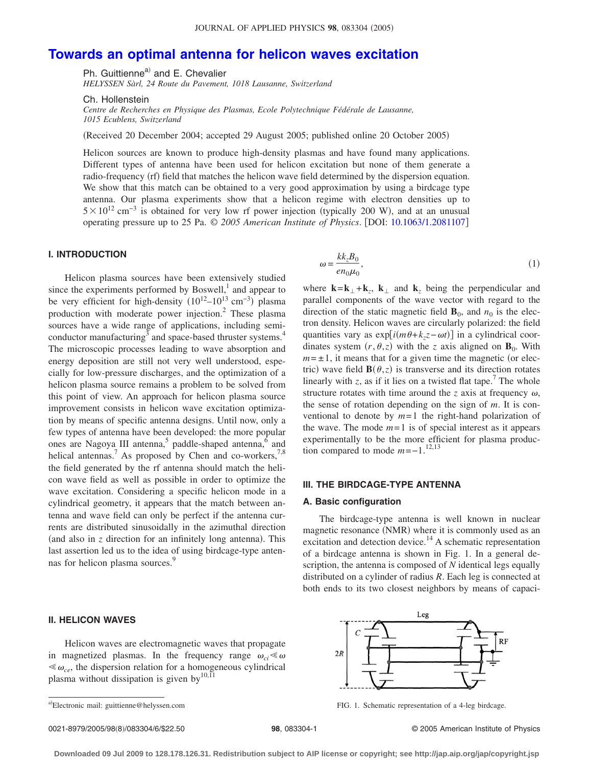# **[Towards an optimal antenna for helicon waves excitation](http://dx.doi.org/10.1063/1.2081107)**

Ph. Guittienne<sup>a)</sup> and E. Chevalier

*HELYSSEN Sàrl, 24 Route du Pavement, 1018 Lausanne, Switzerland*

Ch. Hollenstein

*Centre de Recherches en Physique des Plasmas, Ecole Polytechnique Fédérale de Lausanne, 1015 Ecublens, Switzerland*

Received 20 December 2004; accepted 29 August 2005; published online 20 October 2005-

Helicon sources are known to produce high-density plasmas and have found many applications. Different types of antenna have been used for helicon excitation but none of them generate a radio-frequency (rf) field that matches the helicon wave field determined by the dispersion equation. We show that this match can be obtained to a very good approximation by using a birdcage type antenna. Our plasma experiments show that a helicon regime with electron densities up to  $5 \times 10^{12}$  cm<sup>-3</sup> is obtained for very low rf power injection (typically 200 W), and at an unusual operating pressure up to 25 Pa. © *2005 American Institute of Physics*. DOI: [10.1063/1.2081107](http://dx.doi.org/10.1063/1.2081107)

# **I. INTRODUCTION**

Helicon plasma sources have been extensively studied since the experiments performed by Boswell, $\frac{1}{1}$  and appear to be very efficient for high-density  $(10^{12} - 10^{13} \text{ cm}^{-3})$  plasma production with moderate power injection.2 These plasma sources have a wide range of applications, including semiconductor manufacturing<sup>3</sup> and space-based thruster systems.<sup>4</sup> The microscopic processes leading to wave absorption and energy deposition are still not very well understood, especially for low-pressure discharges, and the optimization of a helicon plasma source remains a problem to be solved from this point of view. An approach for helicon plasma source improvement consists in helicon wave excitation optimization by means of specific antenna designs. Until now, only a few types of antenna have been developed: the more popular ones are Nagoya III antenna,<sup>5</sup> paddle-shaped antenna, $6 \text{ and}$ helical antennas.<sup>7</sup> As proposed by Chen and co-workers,<sup>7,8</sup> the field generated by the rf antenna should match the helicon wave field as well as possible in order to optimize the wave excitation. Considering a specific helicon mode in a cylindrical geometry, it appears that the match between antenna and wave field can only be perfect if the antenna currents are distributed sinusoidally in the azimuthal direction (and also in  $z$  direction for an infinitely long antenna). This last assertion led us to the idea of using birdcage-type antennas for helicon plasma sources.<sup>9</sup>

# **II. HELICON WAVES**

Helicon waves are electromagnetic waves that propagate in magnetized plasmas. In the frequency range  $\omega_{ci} \ll \omega$  $\ll \omega_{ce}$ , the dispersion relation for a homogeneous cylindrical plasma without dissipation is given by<sup>10,11</sup>

$$
\omega = \frac{k k_z B_0}{e n_0 \mu_0},\tag{1}
$$

where  $\mathbf{k} = \mathbf{k}_{\perp} + \mathbf{k}_{z}$ ,  $\mathbf{k}_{\perp}$  and  $\mathbf{k}_{z}$  being the perpendicular and parallel components of the wave vector with regard to the direction of the static magnetic field  $\mathbf{B}_0$ , and  $n_0$  is the electron density. Helicon waves are circularly polarized: the field quantities vary as  $exp[i(m\theta+k_zz-\omega t)]$  in a cylindrical coordinates system  $(r, \theta, z)$  with the *z* axis aligned on **B**<sub>0</sub>. With  $m = \pm 1$ , it means that for a given time the magnetic (or electric) wave field  $\mathbf{B}(\theta, z)$  is transverse and its direction rotates linearly with *z*, as if it lies on a twisted flat tape.<sup>7</sup> The whole structure rotates with time around the  $z$  axis at frequency  $\omega$ , the sense of rotation depending on the sign of *m*. It is conventional to denote by  $m=1$  the right-hand polarization of the wave. The mode  $m=1$  is of special interest as it appears experimentally to be the more efficient for plasma production compared to mode  $m=-1$ .<sup>12,13</sup>

### **III. THE BIRDCAGE-TYPE ANTENNA**

#### **A. Basic configuration**

The birdcage-type antenna is well known in nuclear magnetic resonance (NMR) where it is commonly used as an excitation and detection device.<sup>14</sup> A schematic representation of a birdcage antenna is shown in Fig. 1. In a general description, the antenna is composed of *N* identical legs equally distributed on a cylinder of radius *R*. Each leg is connected at both ends to its two closest neighbors by means of capaci-



FIG. 1. Schematic representation of a 4-leg birdcage.

8/083304/6/\$22.50 © 2005 American Institute of Physics **98**, 083304-1

a)

**Downloaded 09 Jul 2009 to 128.178.126.31. Redistribution subject to AIP license or copyright; see http://jap.aip.org/jap/copyright.jsp**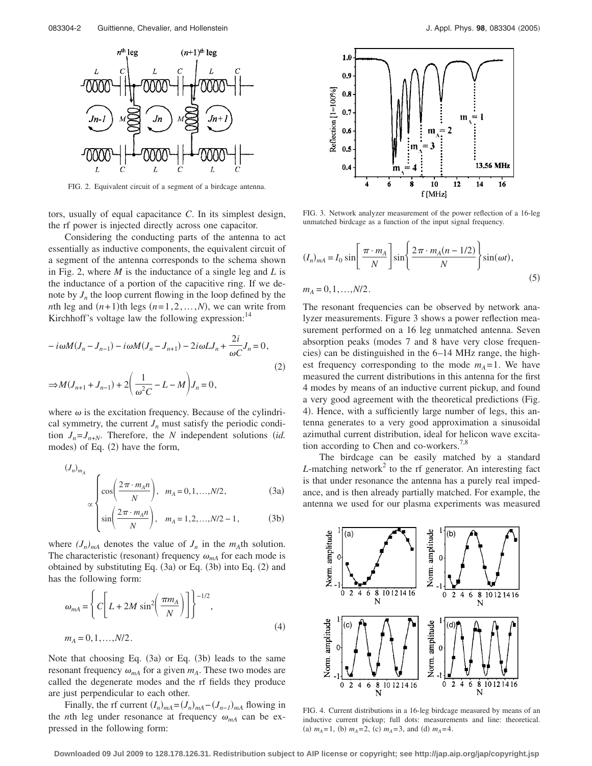

FIG. 2. Equivalent circuit of a segment of a birdcage antenna.

tors, usually of equal capacitance *C*. In its simplest design, the rf power is injected directly across one capacitor.

Considering the conducting parts of the antenna to act essentially as inductive components, the equivalent circuit of a segment of the antenna corresponds to the schema shown in Fig. 2, where *M* is the inductance of a single leg and *L* is the inductance of a portion of the capacitive ring. If we denote by  $J_n$  the loop current flowing in the loop defined by the *n*th leg and  $(n+1)$ th legs  $(n=1,2,...,N)$ , we can write from Kirchhoff's voltage law the following expression: $14$ 

$$
-i\omega M(J_n - J_{n-1}) - i\omega M(J_n - J_{n+1}) - 2i\omega L J_n + \frac{2i}{\omega C} J_n = 0,
$$
  

$$
\Rightarrow M(J_{n+1} + J_{n-1}) + 2\left(\frac{1}{\omega^2 C} - L - M\right) J_n = 0,
$$
 (2)

where  $\omega$  is the excitation frequency. Because of the cylindrical symmetry, the current  $J_n$  must satisfy the periodic condition  $J_n = J_{n+N}$ . Therefore, the *N* independent solutions *(id.*) modes) of Eq. (2) have the form,

$$
(J_n)_{m_A}
$$
  
\n $\propto \begin{cases}\n\cos\left(\frac{2\pi \cdot m_A n}{N}\right), & m_A = 0, 1, ..., N/2,\n\end{cases}$ \n(3a)

$$
\times \left( \sin \left( \frac{2\pi \cdot m_{A} n}{N} \right), \quad m_{A} = 1, 2, ..., N/2 - 1, \tag{3b}
$$

where  $(J_n)_{mA}$  denotes the value of  $J_n$  in the  $m_A$ th solution. The characteristic (resonant) frequency  $\omega_{mA}$  for each mode is obtained by substituting Eq. (3a) or Eq. (3b) into Eq. (2) and has the following form:

$$
\omega_{mA} = \left\{ C \left[ L + 2M \sin^2 \left( \frac{\pi m_A}{N} \right) \right] \right\}^{-1/2},
$$
  
\n
$$
m_A = 0, 1, ..., N/2.
$$
\n(4)

Note that choosing Eq.  $(3a)$  or Eq.  $(3b)$  leads to the same resonant frequency  $\omega_{mA}$  for a given  $m_A$ . These two modes are called the degenerate modes and the rf fields they produce are just perpendicular to each other.

Finally, the rf current  $(I_n)_{mA} = (J_n)_{mA} - (J_{n-1})_{mA}$  flowing in the *n*th leg under resonance at frequency  $\omega_{mA}$  can be expressed in the following form:



FIG. 3. Network analyzer measurement of the power reflection of a 16-leg unmatched birdcage as a function of the input signal frequency.

$$
(I_n)_{mA} = I_0 \sin\left[\frac{\pi \cdot m_A}{N}\right] \sin\left\{\frac{2\pi \cdot m_A(n - 1/2)}{N}\right\} \sin(\omega t),
$$
  

$$
m_A = 0, 1, \dots, N/2.
$$
 (5)

The resonant frequencies can be observed by network analyzer measurements. Figure 3 shows a power reflection measurement performed on a 16 leg unmatched antenna. Seven absorption peaks (modes 7 and 8 have very close frequencies) can be distinguished in the 6–14 MHz range, the highest frequency corresponding to the mode  $m_A = 1$ . We have measured the current distributions in this antenna for the first 4 modes by means of an inductive current pickup, and found a very good agreement with the theoretical predictions (Fig. 4). Hence, with a sufficiently large number of legs, this antenna generates to a very good approximation a sinusoidal azimuthal current distribution, ideal for helicon wave excitation according to Chen and co-workers.<sup>7,8</sup>

The birdcage can be easily matched by a standard  $L$ -matching network<sup>2</sup> to the rf generator. An interesting fact is that under resonance the antenna has a purely real impedance, and is then already partially matched. For example, the antenna we used for our plasma experiments was measured



FIG. 4. Current distributions in a 16-leg birdcage measured by means of an inductive current pickup; full dots: measurements and line: theoretical. (a)  $m_A = 1$ , (b)  $m_A = 2$ , (c)  $m_A = 3$ , and (d)  $m_A = 4$ .

**Downloaded 09 Jul 2009 to 128.178.126.31. Redistribution subject to AIP license or copyright; see http://jap.aip.org/jap/copyright.jsp**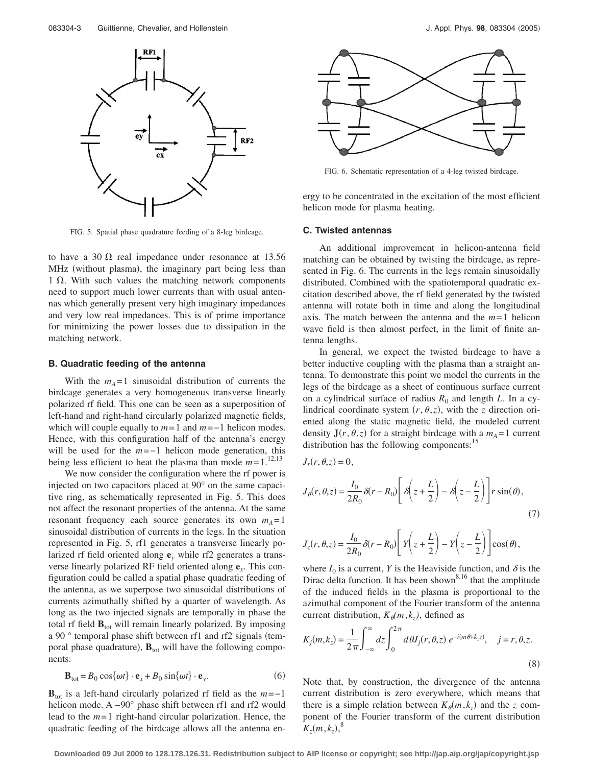

FIG. 5. Spatial phase quadrature feeding of a 8-leg birdcage.

to have a 30  $\Omega$  real impedance under resonance at 13.56 MHz (without plasma), the imaginary part being less than  $1 \Omega$ . With such values the matching network components need to support much lower currents than with usual antennas which generally present very high imaginary impedances and very low real impedances. This is of prime importance for minimizing the power losses due to dissipation in the matching network.

#### **B. Quadratic feeding of the antenna**

With the  $m_A = 1$  sinusoidal distribution of currents the birdcage generates a very homogeneous transverse linearly polarized rf field. This one can be seen as a superposition of left-hand and right-hand circularly polarized magnetic fields, which will couple equally to *m*= 1 and *m*=−1 helicon modes. Hence, with this configuration half of the antenna's energy will be used for the *m*=−1 helicon mode generation, this being less efficient to heat the plasma than mode  $m=1$ .<sup>12,13</sup>

We now consider the configuration where the rf power is injected on two capacitors placed at 90° on the same capacitive ring, as schematically represented in Fig. 5. This does not affect the resonant properties of the antenna. At the same resonant frequency each source generates its own  $m_A = 1$ sinusoidal distribution of currents in the legs. In the situation represented in Fig. 5, rf1 generates a transverse linearly polarized rf field oriented along **e***<sup>y</sup>* while rf2 generates a transverse linearly polarized RF field oriented along **e***x*. This configuration could be called a spatial phase quadratic feeding of the antenna, as we superpose two sinusoidal distributions of currents azimuthally shifted by a quarter of wavelength. As long as the two injected signals are temporally in phase the total rf field  $\mathbf{B}_{\text{tot}}$  will remain linearly polarized. By imposing a 90 ° temporal phase shift between rf1 and rf2 signals (temporal phase quadrature),  $\mathbf{B}_{\text{tot}}$  will have the following components:

$$
\mathbf{B}_{\text{tot}} = B_0 \cos\{\omega t\} \cdot \mathbf{e}_x + B_0 \sin\{\omega t\} \cdot \mathbf{e}_y. \tag{6}
$$

 **is a left-hand circularly polarized rf field as the**  $m=-1$ helicon mode. A −90° phase shift between rf1 and rf2 would lead to the *m*= 1 right-hand circular polarization. Hence, the quadratic feeding of the birdcage allows all the antenna en-



FIG. 6. Schematic representation of a 4-leg twisted birdcage.

ergy to be concentrated in the excitation of the most efficient helicon mode for plasma heating.

# **C. Twisted antennas**

An additional improvement in helicon-antenna field matching can be obtained by twisting the birdcage, as represented in Fig. 6. The currents in the legs remain sinusoidally distributed. Combined with the spatiotemporal quadratic excitation described above, the rf field generated by the twisted antenna will rotate both in time and along the longitudinal axis. The match between the antenna and the  $m=1$  helicon wave field is then almost perfect, in the limit of finite antenna lengths.

In general, we expect the twisted birdcage to have a better inductive coupling with the plasma than a straight antenna. To demonstrate this point we model the currents in the legs of the birdcage as a sheet of continuous surface current on a cylindrical surface of radius  $R_0$  and length  $L$ . In a cylindrical coordinate system  $(r, \theta, z)$ , with the *z* direction oriented along the static magnetic field, the modeled current density  $J(r, \theta, z)$  for a straight birdcage with a  $m_A = 1$  current distribution has the following components:<sup>15</sup>

$$
J_r(r, \theta, z) = 0,
$$

$$
J_{\theta}(r,\theta,z) = \frac{I_0}{2R_0} \delta(r - R_0) \left[ \delta \left( z + \frac{L}{2} \right) - \delta \left( z - \frac{L}{2} \right) \right] r \sin(\theta),\tag{7}
$$

$$
J_z(r,\theta,z) = \frac{I_0}{2R_0} \delta(r - R_0) \left[ Y \left( z + \frac{L}{2} \right) - Y \left( z - \frac{L}{2} \right) \right] \cos(\theta),
$$

where  $I_0$  is a current, *Y* is the Heaviside function, and  $\delta$  is the Dirac delta function. It has been shown $8,16$  that the amplitude of the induced fields in the plasma is proportional to the azimuthal component of the Fourier transform of the antenna current distribution,  $K_{\theta}(m, k_z)$ , defined as

$$
K_j(m, k_z) = \frac{1}{2\pi} \int_{-\infty}^{\infty} dz \int_0^{2\pi} d\theta J_j(r, \theta, z) e^{-i(m\theta + k_z z)}, \quad j = r, \theta, z.
$$
\n(8)

Note that, by construction, the divergence of the antenna current distribution is zero everywhere, which means that there is a simple relation between  $K_{\theta}(m, k_z)$  and the *z* component of the Fourier transform of the current distribution  $K_z(m, k_z)$ ,<sup>8</sup>

**Downloaded 09 Jul 2009 to 128.178.126.31. Redistribution subject to AIP license or copyright; see http://jap.aip.org/jap/copyright.jsp**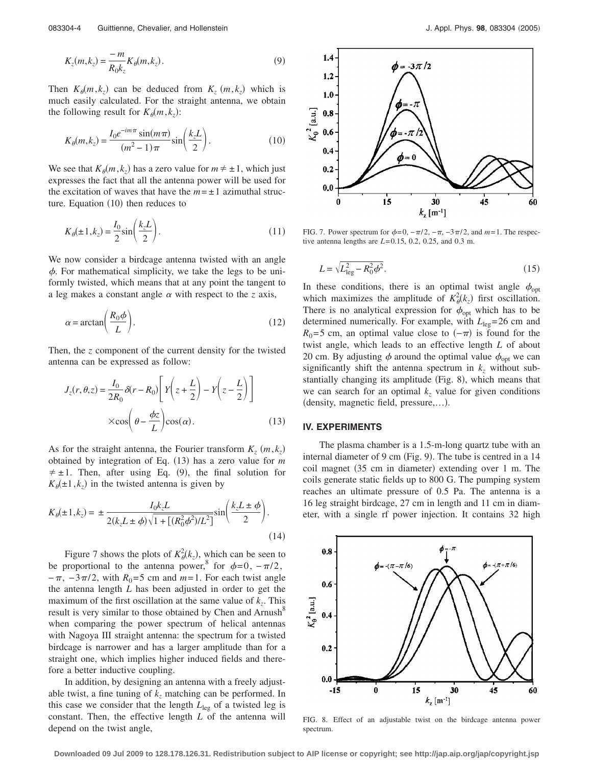$$
K_z(m,k_z) = \frac{-m}{R_0 k_z} K_\theta(m,k_z). \tag{9}
$$

Then  $K_{\theta}(m, k_z)$  can be deduced from  $K_z(m, k_z)$  which is much easily calculated. For the straight antenna, we obtain the following result for  $K_{\theta}(m, k_z)$ :

$$
K_{\theta}(m,k_z) = \frac{I_0 e^{-im\pi} \sin(m\pi)}{(m^2 - 1)\pi} \sin\left(\frac{k_z L}{2}\right).
$$
 (10)

We see that  $K_{\theta}(m, k_z)$  has a zero value for  $m \neq \pm 1$ , which just expresses the fact that all the antenna power will be used for the excitation of waves that have the  $m = \pm 1$  azimuthal structure. Equation (10) then reduces to

$$
K_{\theta}(\pm 1, k_z) = \frac{I_0}{2} \sin\left(\frac{k_z L}{2}\right). \tag{11}
$$

We now consider a birdcage antenna twisted with an angle  $\phi$ . For mathematical simplicity, we take the legs to be uniformly twisted, which means that at any point the tangent to a leg makes a constant angle  $\alpha$  with respect to the *z* axis,

$$
\alpha = \arctan\left(\frac{R_0 \phi}{L}\right). \tag{12}
$$

Then, the *z* component of the current density for the twisted antenna can be expressed as follow:

$$
J_z(r, \theta, z) = \frac{I_0}{2R_0} \delta(r - R_0) \left[ Y \left( z + \frac{L}{2} \right) - Y \left( z - \frac{L}{2} \right) \right]
$$

$$
\times \cos \left( \theta - \frac{\phi z}{L} \right) \cos(\alpha). \tag{13}
$$

As for the straight antenna, the Fourier transform  $K_z$   $(m, k_z)$ obtained by integration of Eq. (13) has a zero value for *m*  $\neq \pm 1$ . Then, after using Eq. (9), the final solution for  $K_{\theta}(\pm 1, k_z)$  in the twisted antenna is given by

$$
K_{\theta}(\pm 1, k_z) = \pm \frac{I_0 k_z L}{2(k_z L \pm \phi) \sqrt{1 + [(R_0^2 \phi^2)/L^2]}} \sin\left(\frac{k_z L \pm \phi}{2}\right).
$$
\n(14)

Figure 7 shows the plots of  $K^2_{\theta}(k_z)$ , which can be seen to be proportional to the antenna power,<sup>8</sup> for  $\phi=0$ ,  $-\pi/2$ ,  $-\pi$ ,  $-3\pi/2$ , with  $R_0$ =5 cm and  $m=1$ . For each twist angle the antenna length *L* has been adjusted in order to get the maximum of the first oscillation at the same value of  $k_z$ . This result is very similar to those obtained by Chen and Arnush<sup>8</sup> when comparing the power spectrum of helical antennas with Nagoya III straight antenna: the spectrum for a twisted birdcage is narrower and has a larger amplitude than for a straight one, which implies higher induced fields and therefore a better inductive coupling.

In addition, by designing an antenna with a freely adjustable twist, a fine tuning of  $k_z$  matching can be performed. In this case we consider that the length  $L_{\text{leg}}$  of a twisted leg is constant. Then, the effective length *L* of the antenna will depend on the twist angle,



FIG. 7. Power spectrum for  $\phi = 0$ ,  $-\pi/2$ ,  $-\pi$ ,  $-3\pi/2$ , and  $m=1$ . The respective antenna lengths are *L*= 0.15, 0.2, 0.25, and 0.3 m.

$$
L = \sqrt{L_{\text{leg}}^2 - R_0^2 \phi^2}.
$$
\n(15)

In these conditions, there is an optimal twist angle  $\phi_{opt}$ which maximizes the amplitude of  $K^2_{\theta}(k_z)$  first oscillation. There is no analytical expression for  $\phi_{opt}$  which has to be determined numerically. For example, with  $L_{\text{leg}} = 26 \text{ cm}$  and  $R_0$ =5 cm, an optimal value close to  $(-\pi)$  is found for the twist angle, which leads to an effective length *L* of about 20 cm. By adjusting  $\phi$  around the optimal value  $\phi_{\text{opt}}$  we can significantly shift the antenna spectrum in  $k_z$  without substantially changing its amplitude (Fig. 8), which means that we can search for an optimal  $k_z$  value for given conditions density, magnetic field, pressure,…-.

# **IV. EXPERIMENTS**

The plasma chamber is a 1.5-m-long quartz tube with an internal diameter of 9 cm (Fig. 9). The tube is centred in a 14 coil magnet (35 cm in diameter) extending over 1 m. The coils generate static fields up to 800 G. The pumping system reaches an ultimate pressure of 0.5 Pa. The antenna is a 16 leg straight birdcage, 27 cm in length and 11 cm in diameter, with a single rf power injection. It contains 32 high



FIG. 8. Effect of an adjustable twist on the birdcage antenna power spectrum.

**Downloaded 09 Jul 2009 to 128.178.126.31. Redistribution subject to AIP license or copyright; see http://jap.aip.org/jap/copyright.jsp**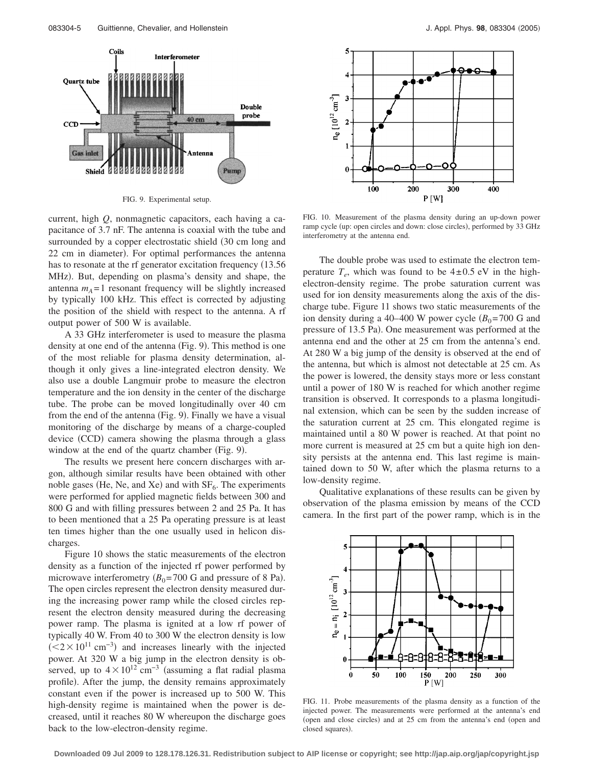

FIG. 9. Experimental setup.

current, high *Q*, nonmagnetic capacitors, each having a capacitance of 3.7 nF. The antenna is coaxial with the tube and surrounded by a copper electrostatic shield  $(30 \text{ cm} \text{ long and}$ 22 cm in diameter). For optimal performances the antenna has to resonate at the rf generator excitation frequency (13.56) MHz). But, depending on plasma's density and shape, the antenna  $m_A = 1$  resonant frequency will be slightly increased by typically 100 kHz. This effect is corrected by adjusting the position of the shield with respect to the antenna. A rf output power of 500 W is available.

A 33 GHz interferometer is used to measure the plasma density at one end of the antenna (Fig. 9). This method is one of the most reliable for plasma density determination, although it only gives a line-integrated electron density. We also use a double Langmuir probe to measure the electron temperature and the ion density in the center of the discharge tube. The probe can be moved longitudinally over 40 cm from the end of the antenna (Fig. 9). Finally we have a visual monitoring of the discharge by means of a charge-coupled device (CCD) camera showing the plasma through a glass window at the end of the quartz chamber (Fig. 9).

The results we present here concern discharges with argon, although similar results have been obtained with other noble gases (He, Ne, and Xe) and with  $SF<sub>6</sub>$ . The experiments were performed for applied magnetic fields between 300 and 800 G and with filling pressures between 2 and 25 Pa. It has to been mentioned that a 25 Pa operating pressure is at least ten times higher than the one usually used in helicon discharges.

Figure 10 shows the static measurements of the electron density as a function of the injected rf power performed by microwave interferometry  $(B_0 = 700 \text{ G and pressure of 8 Pa}).$ The open circles represent the electron density measured during the increasing power ramp while the closed circles represent the electron density measured during the decreasing power ramp. The plasma is ignited at a low rf power of typically 40 W. From 40 to 300 W the electron density is low  $\left($  <2 × 10<sup>11</sup> cm<sup>-3</sup>) and increases linearly with the injected power. At 320 W a big jump in the electron density is observed, up to  $4 \times 10^{12}$  cm<sup>-3</sup> (assuming a flat radial plasma profile). After the jump, the density remains approximately constant even if the power is increased up to 500 W. This high-density regime is maintained when the power is decreased, until it reaches 80 W whereupon the discharge goes back to the low-electron-density regime.



FIG. 10. Measurement of the plasma density during an up-down power ramp cycle (up: open circles and down: close circles), performed by 33 GHz interferometry at the antenna end.

The double probe was used to estimate the electron temperature  $T_e$ , which was found to be  $4\pm 0.5$  eV in the highelectron-density regime. The probe saturation current was used for ion density measurements along the axis of the discharge tube. Figure 11 shows two static measurements of the ion density during a 40–400 W power cycle  $(B_0=700 \text{ G and})$ pressure of 13.5 Pa). One measurement was performed at the antenna end and the other at 25 cm from the antenna's end. At 280 W a big jump of the density is observed at the end of the antenna, but which is almost not detectable at 25 cm. As the power is lowered, the density stays more or less constant until a power of 180 W is reached for which another regime transition is observed. It corresponds to a plasma longitudinal extension, which can be seen by the sudden increase of the saturation current at 25 cm. This elongated regime is maintained until a 80 W power is reached. At that point no more current is measured at 25 cm but a quite high ion density persists at the antenna end. This last regime is maintained down to 50 W, after which the plasma returns to a low-density regime.

Qualitative explanations of these results can be given by observation of the plasma emission by means of the CCD camera. In the first part of the power ramp, which is in the



FIG. 11. Probe measurements of the plasma density as a function of the injected power. The measurements were performed at the antenna's end (open and close circles) and at 25 cm from the antenna's end (open and closed squares).